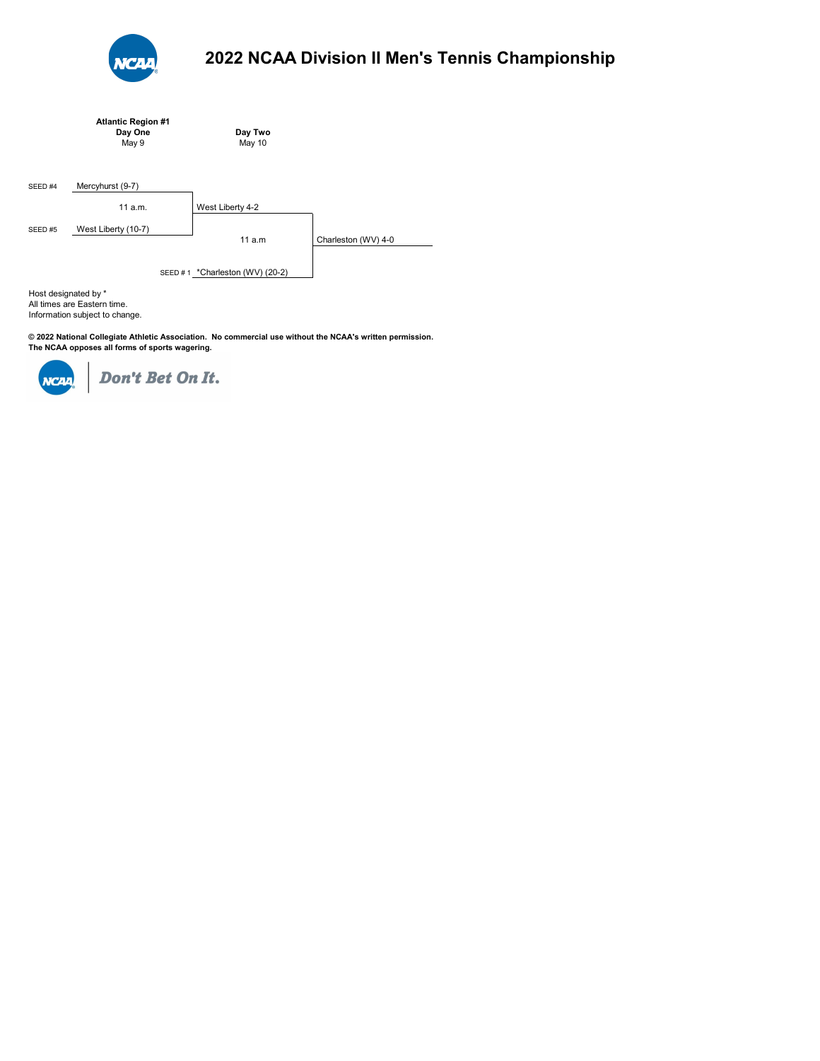

|        | <b>Atlantic Region #1</b><br>Day One<br>May 9 | Day Two<br>May 10               |                     |
|--------|-----------------------------------------------|---------------------------------|---------------------|
| SEED#4 | Mercyhurst (9-7)                              |                                 |                     |
|        | 11 a.m.                                       | West Liberty 4-2                |                     |
| SEED#5 | West Liberty (10-7)                           | 11a.m                           | Charleston (WV) 4-0 |
|        |                                               | SEED #1 *Charleston (WV) (20-2) |                     |

All times are Eastern time. Information subject to change. Host designated by \*

**© 2022 National Collegiate Athletic Association. No commercial use without the NCAA's written permission. The NCAA opposes all forms of sports wagering.** 

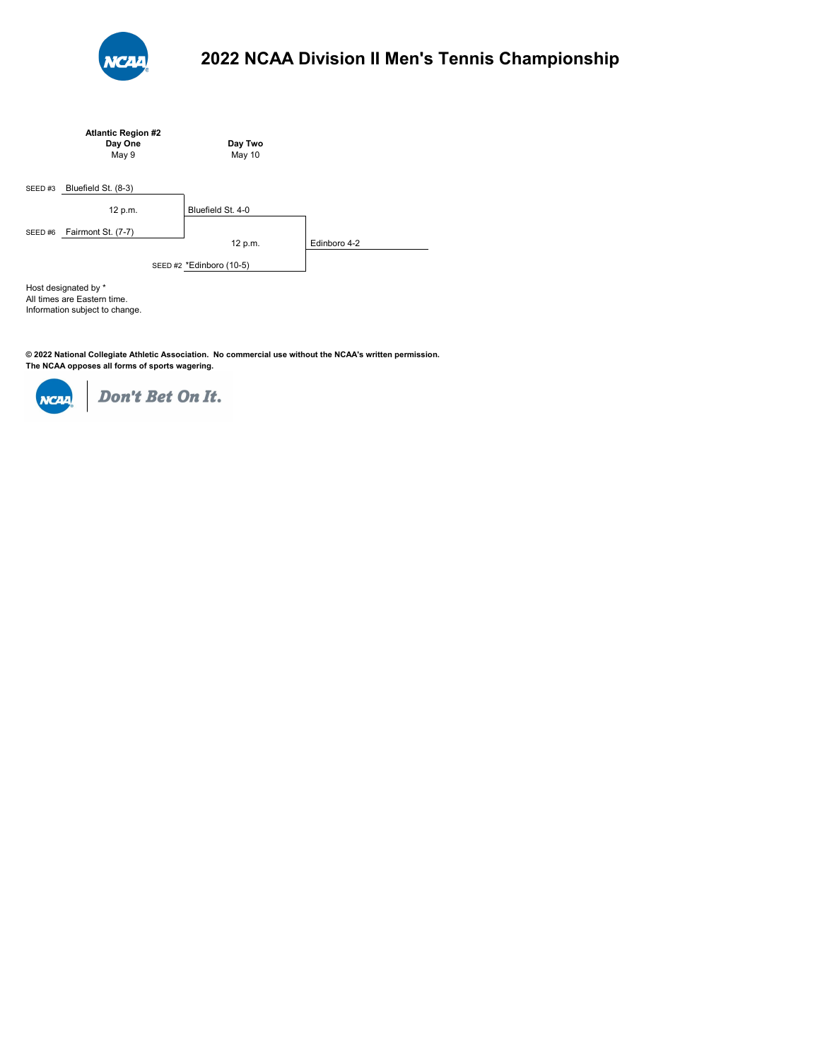

|        | <b>Atlantic Region #2</b><br>Day One<br>May 9 | Day Two<br>May 10        |              |
|--------|-----------------------------------------------|--------------------------|--------------|
| SEED#3 | Bluefield St. (8-3)                           |                          |              |
|        | 12 p.m.                                       | Bluefield St. 4-0        |              |
| SEED#6 | Fairmont St. (7-7)                            | 12 p.m.                  | Edinboro 4-2 |
|        |                                               | SEED #2 *Edinboro (10-5) |              |

All times are Eastern time. Information subject to change. Host designated by \*

**© 2022 National Collegiate Athletic Association. No commercial use without the NCAA's written permission. The NCAA opposes all forms of sports wagering.** 

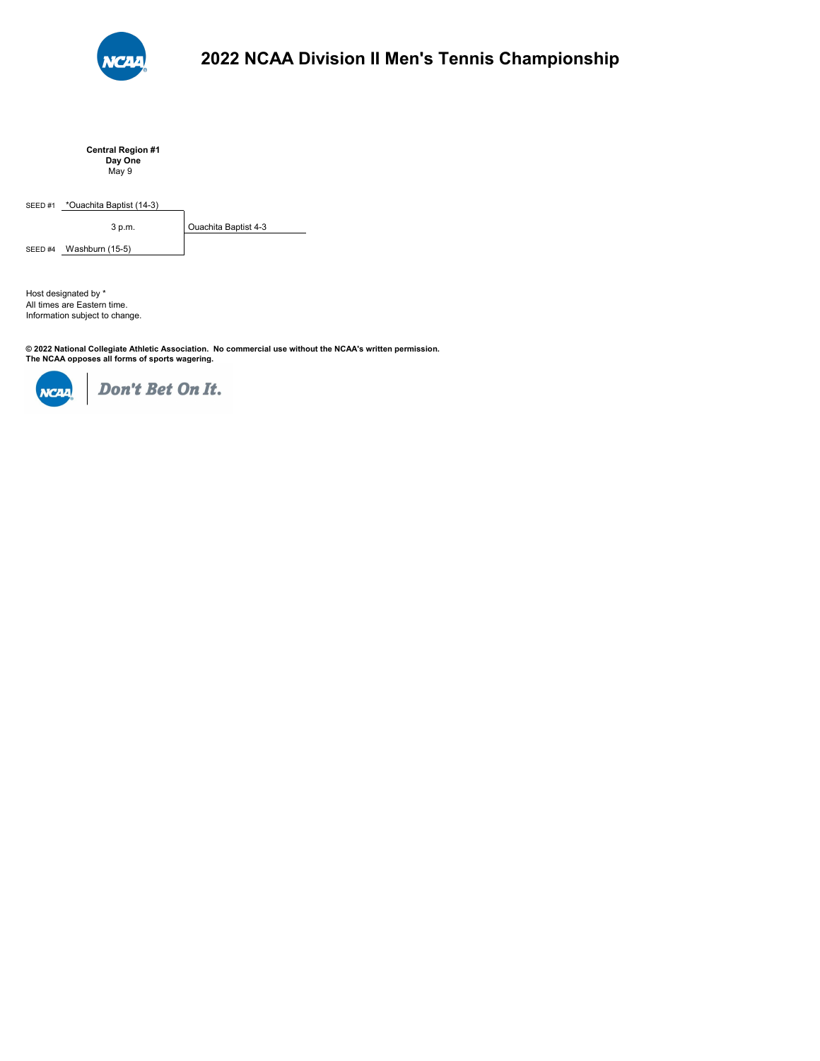

**Central Region #1 Day One** May 9

SEED #1 \*Ouachita Baptist (14-3)

3 p.m. Ouachita Baptist 4-3

SEED #4 Washburn (15-5)

All times are Eastern time. Information subject to change. Host designated by \*

© 2022 National Collegiate Athletic Association. No commercial use without the NCAA's written permission.<br>The NCAA opposes all forms of sports wagering.

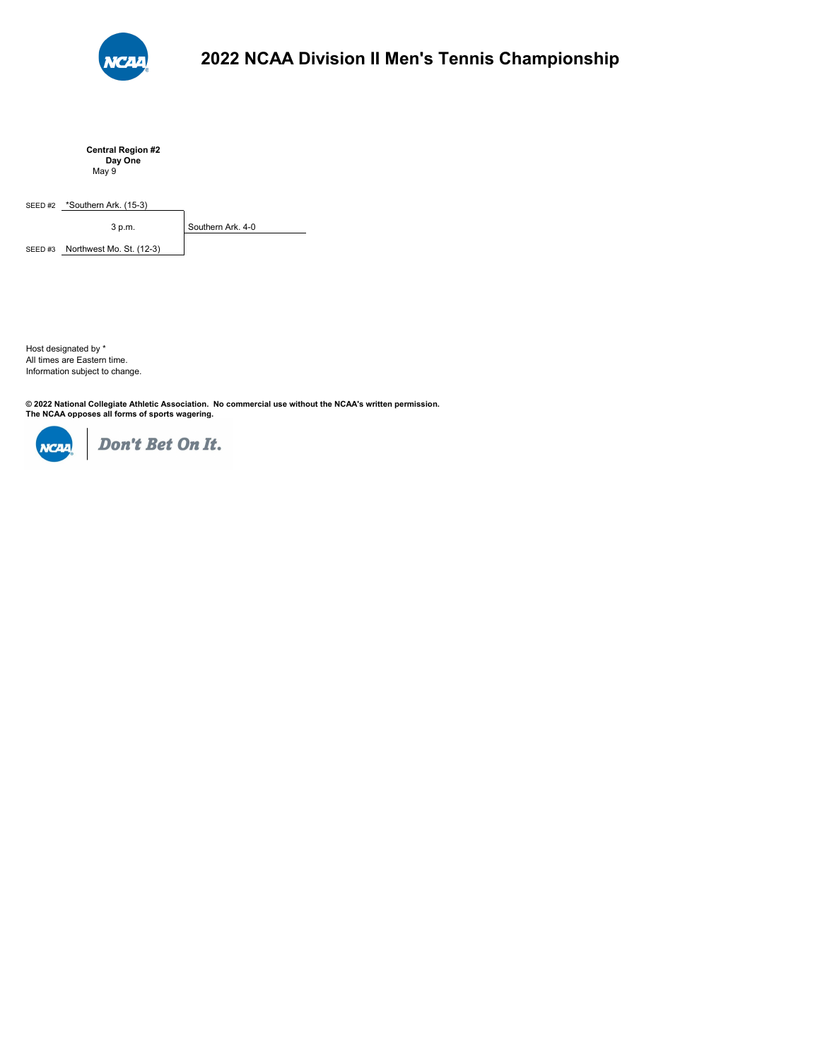

**Central Region #2 Day One**

May 9

SEED #2 \*Southern Ark. (15-3)

3 p.m. Southern Ark. 4-0

SEED #3 Northwest Mo. St. (12-3)

All times are Eastern time. Information subject to change. Host designated by \*

© 2022 National Collegiate Athletic Association. No commercial use without the NCAA's written permission.<br>The NCAA opposes all forms of sports wagering.

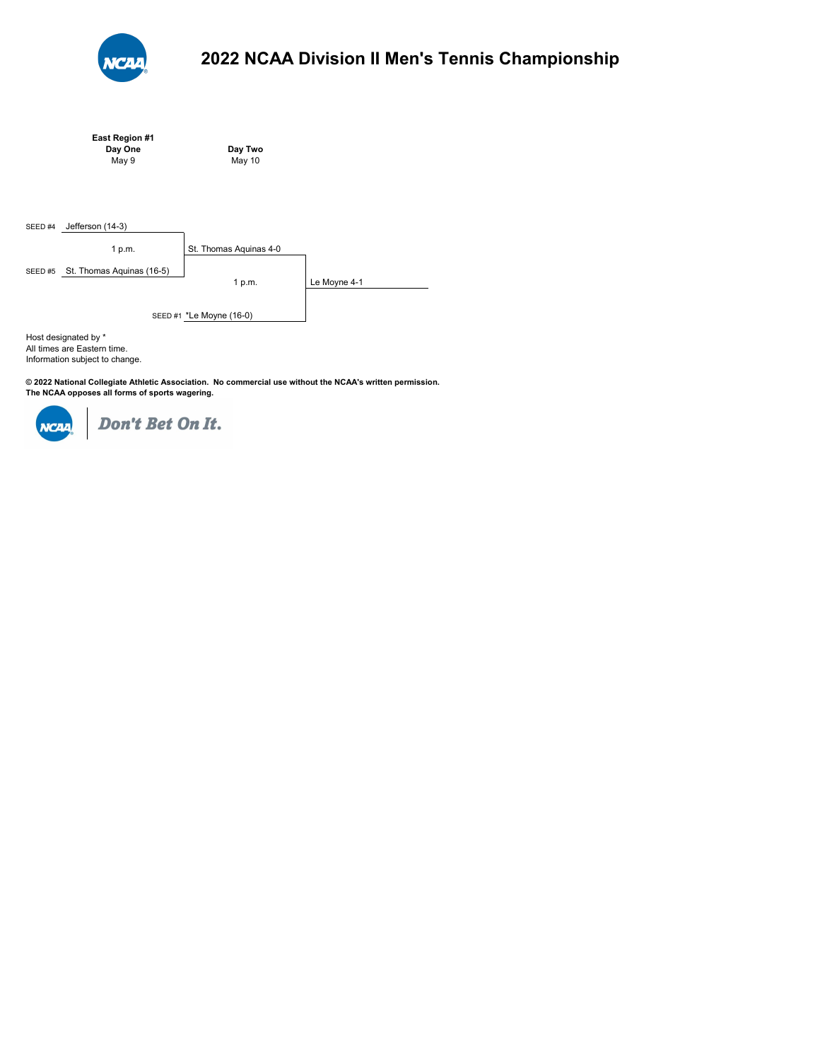

|                          | East Region #1<br>Day One<br>May 9 | Day Two<br>May 10      |              |
|--------------------------|------------------------------------|------------------------|--------------|
| SEED <sub>#4</sub>       | Jefferson (14-3)                   |                        |              |
|                          | 1 p.m.                             | St. Thomas Aquinas 4-0 |              |
| SEED#5                   | St. Thomas Aquinas (16-5)          | 1 p.m.                 | Le Moyne 4-1 |
| SEED #1 *Le Moyne (16-0) |                                    |                        |              |
|                          | Host designated by *               |                        |              |

All times are Eastern time. Information subject to change.

**© 2022 National Collegiate Athletic Association. No commercial use without the NCAA's written permission. The NCAA opposes all forms of sports wagering.** 

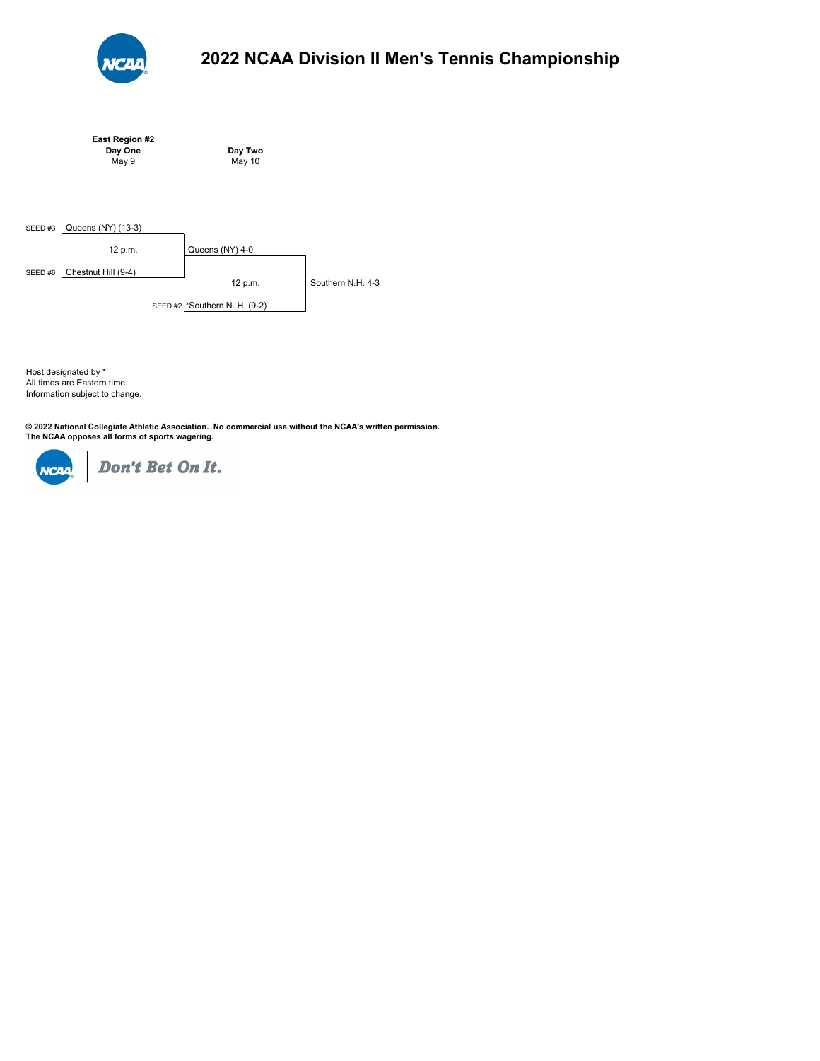

**East Region #2 Day One Day Two**  $M$ ay 10 SEED #3 Queens (NY) (13-3)



All times are Eastern time. Information subject to change. Host designated by \*

© 2022 National Collegiate Athletic Association. No commercial use without the NCAA's written permission.<br>The NCAA opposes all forms of sports wagering.

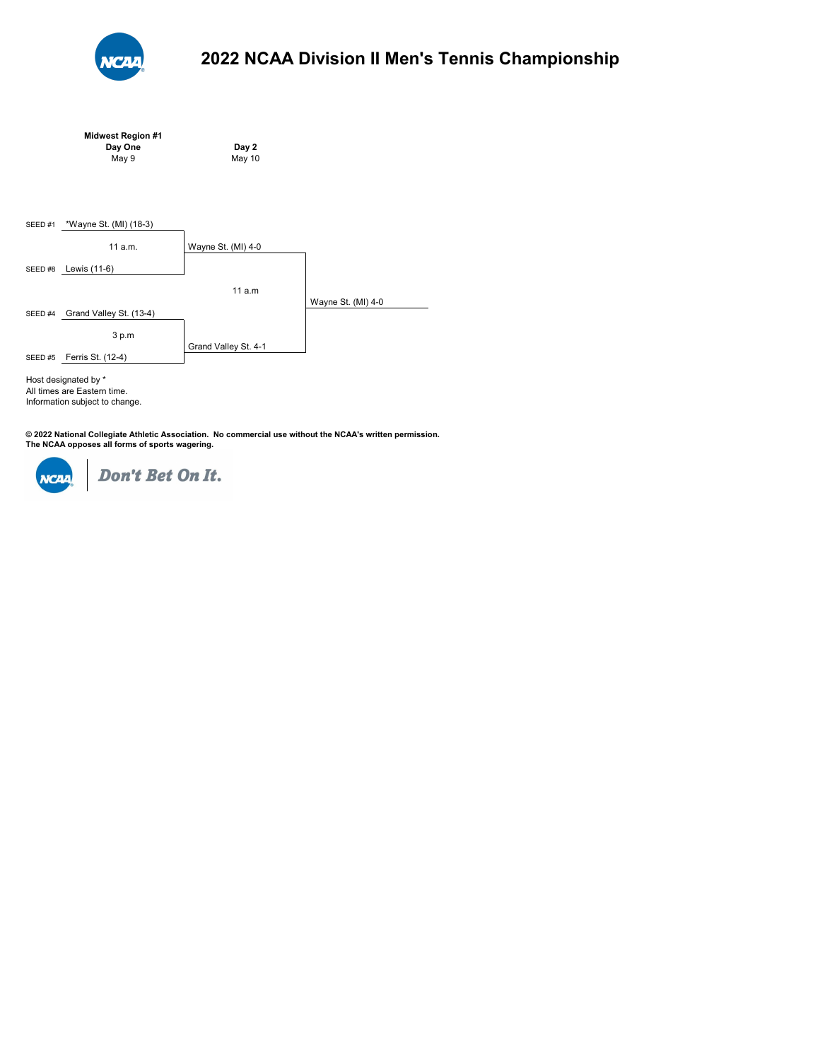

|                    | <b>Midwest Region #1</b><br>Day One<br>May 9          | Day 2<br>May 10      |                    |
|--------------------|-------------------------------------------------------|----------------------|--------------------|
| SEED#1             | *Wayne St. (MI) (18-3)<br>11 a.m.                     | Wayne St. (MI) 4-0   |                    |
| SEED#8             | Lewis (11-6)                                          | 11a.m                | Wayne St. (MI) 4-0 |
| SEED #4<br>SEED #5 | Grand Valley St. (13-4)<br>3 p.m<br>Ferris St. (12-4) | Grand Valley St. 4-1 |                    |
|                    | Host designated by *<br>All times are Eastern time.   |                      |                    |

**© 2022 National Collegiate Athletic Association. No commercial use without the NCAA's written permission. The NCAA opposes all forms of sports wagering.** 



Information subject to change.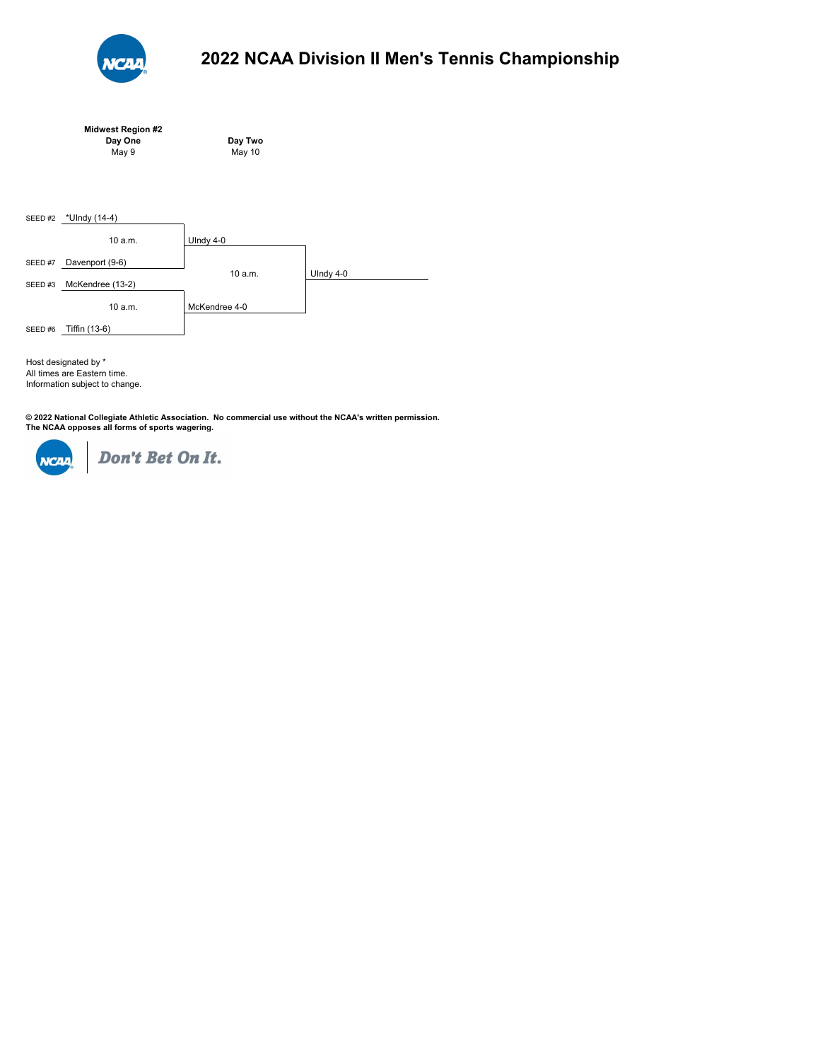

**Midwest Region #2 Day One Day Two**

 $M$ ay 10



All times are Eastern time. Information subject to change. Host designated by \*

**© 2022 National Collegiate Athletic Association. No commercial use without the NCAA's written permission. The NCAA opposes all forms of sports wagering.** 

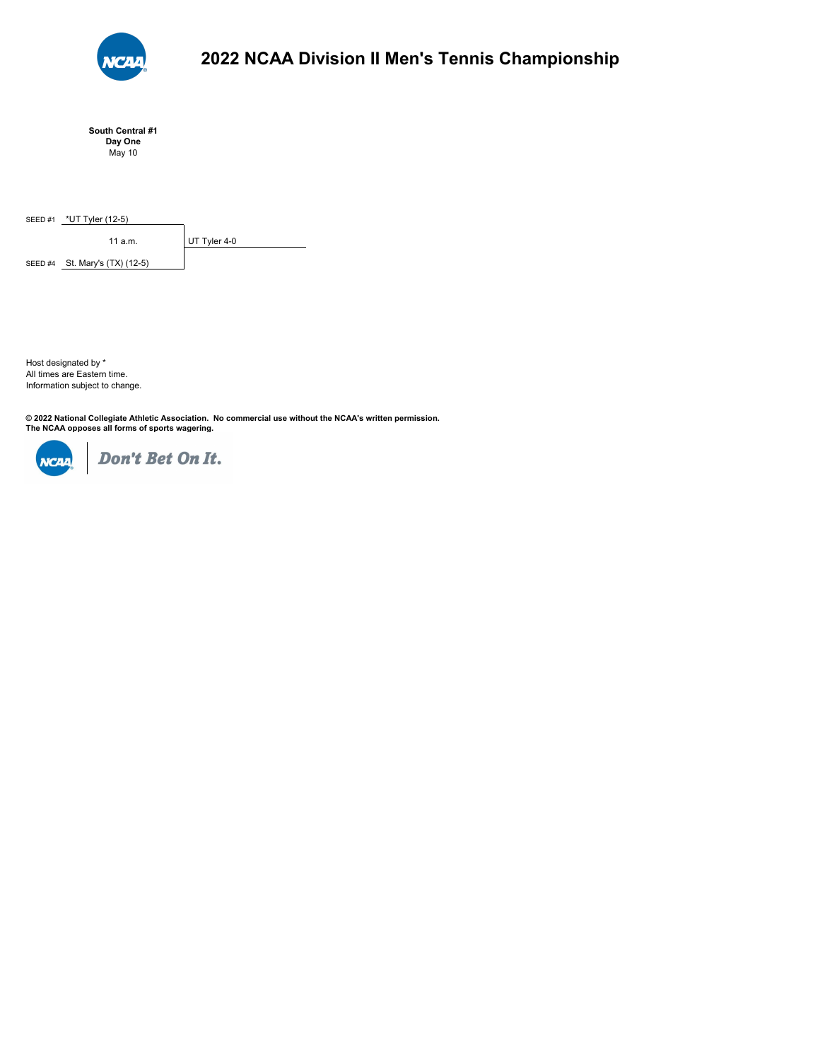

**South Central #1 Day One** May 10

SEED #1 \*UT Tyler (12-5)

11 a.m. **UT Tyler 4-0** SEED #4 **St. Mary's (TX) (12-5)** 

All times are Eastern time. Information subject to change. Host designated by \*

© 2022 National Collegiate Athletic Association. No commercial use without the NCAA's written permission.<br>The NCAA opposes all forms of sports wagering.

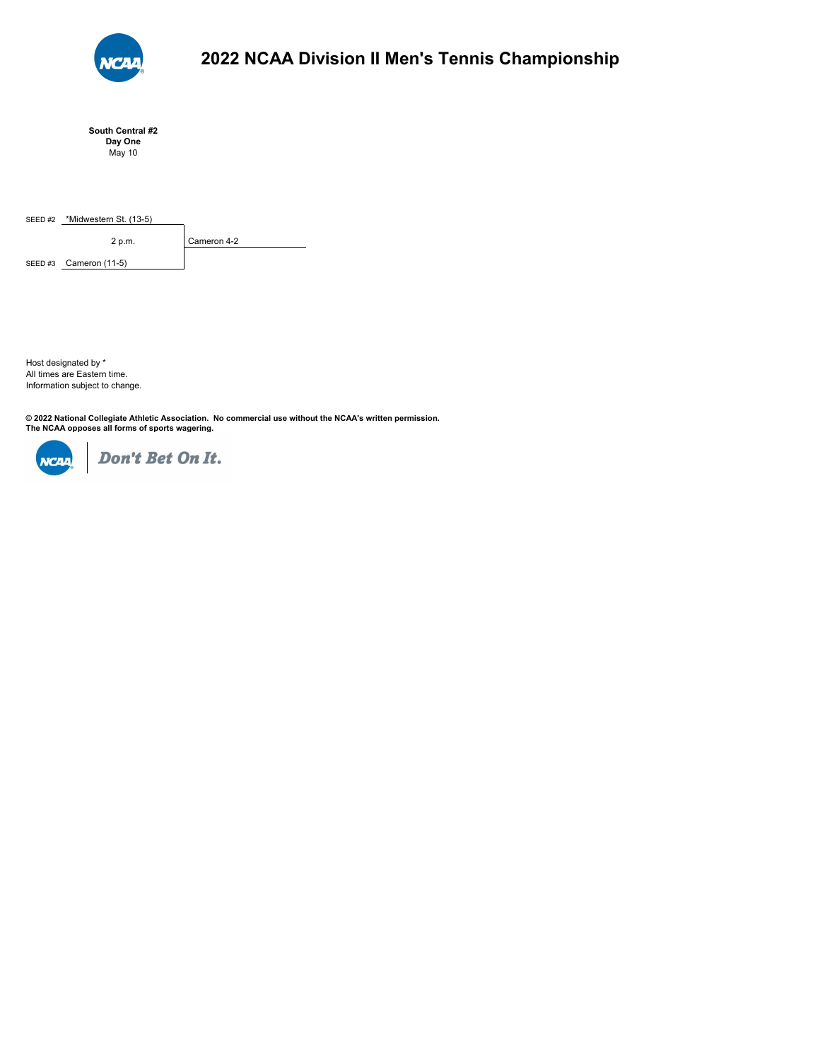

**South Central #2 Day One** May 10

SEED #2 \*Midwestern St. (13-5)

2 p.m. Cameron 4-2

SEED #3 Cameron (11-5)

All times are Eastern time. Information subject to change. Host designated by \*

© 2022 National Collegiate Athletic Association. No commercial use without the NCAA's written permission.<br>The NCAA opposes all forms of sports wagering.

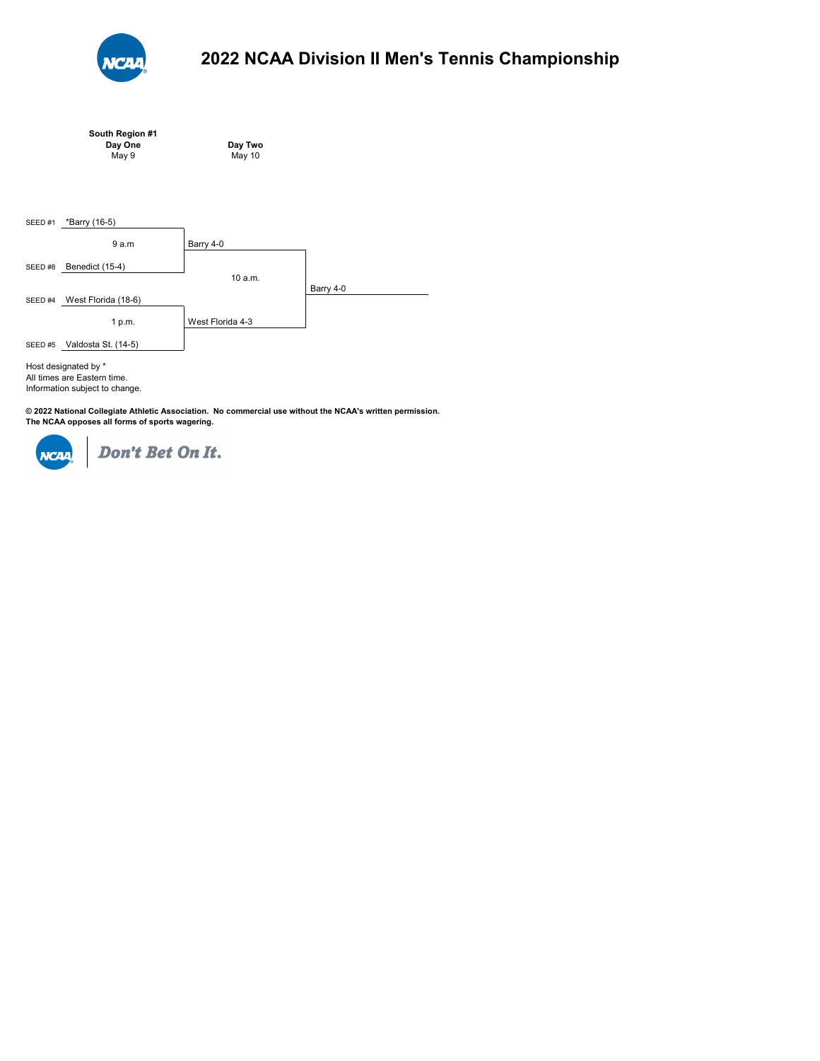

**South Region #1 Day One Day Two**

 $M$ ay 10



All times are Eastern time. Information subject to change. Host designated by \*

**© 2022 National Collegiate Athletic Association. No commercial use without the NCAA's written permission. The NCAA opposes all forms of sports wagering.** 

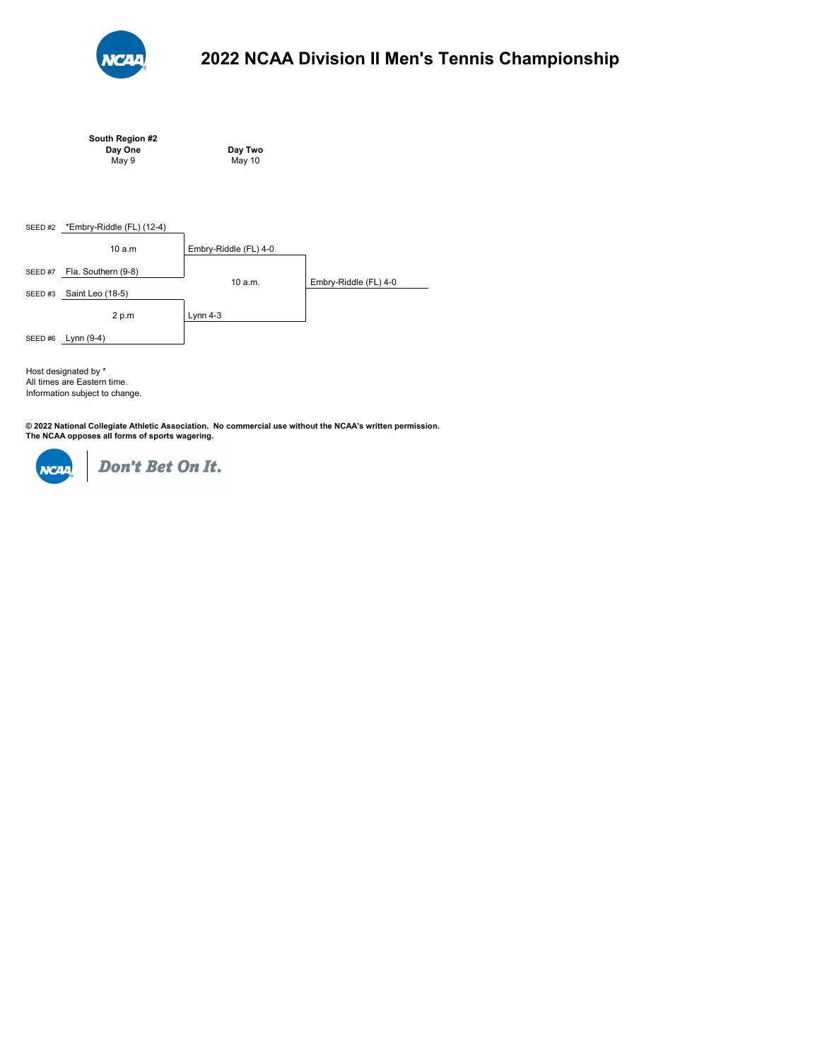

**South Region #2 Day One Day Two** May 9 May 10

| SEED#2 | *Embry-Riddle (FL) (12-4) |                       |                       |
|--------|---------------------------|-----------------------|-----------------------|
|        | 10a.m                     | Embry-Riddle (FL) 4-0 |                       |
| SEED#7 | Fla. Southern (9-8)       |                       |                       |
| SEED#3 | Saint Leo (18-5)          | 10a.m.                | Embry-Riddle (FL) 4-0 |
|        | 2 p.m                     | Lynn $4-3$            |                       |
| SEED#6 | Lynn (9-4)                |                       |                       |

All times are Eastern time. Information subject to change. Host designated by \*

© 2022 National Collegiate Athletic Association. No commercial use without the NCAA's written permission.<br>The NCAA opposes all forms of sports wagering.

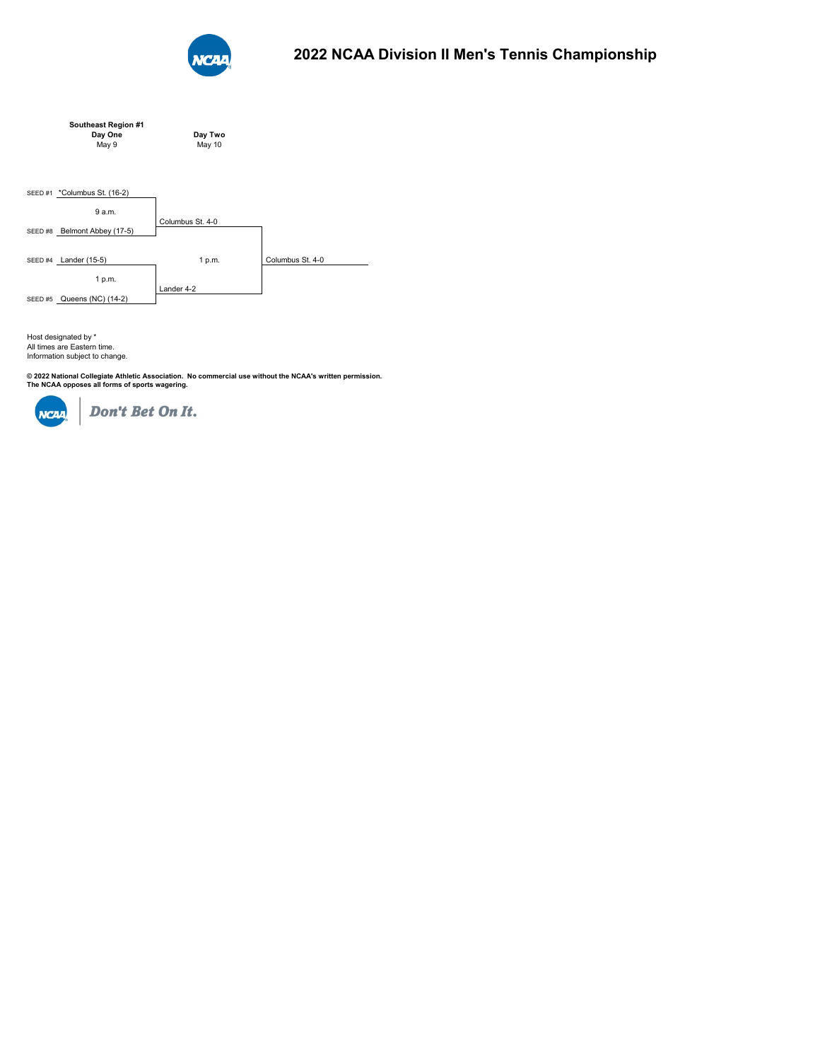

| Day Two |
|---------|
| May 10  |
|         |
|         |
|         |
|         |



Host designated by \*<br>All times are Eastern time.

Information subject to change.

© 2022 National Collegiate Athletic Association. No commercial use without the NCAA's written permission.<br>The NCAA opposes all forms of sports wagering.

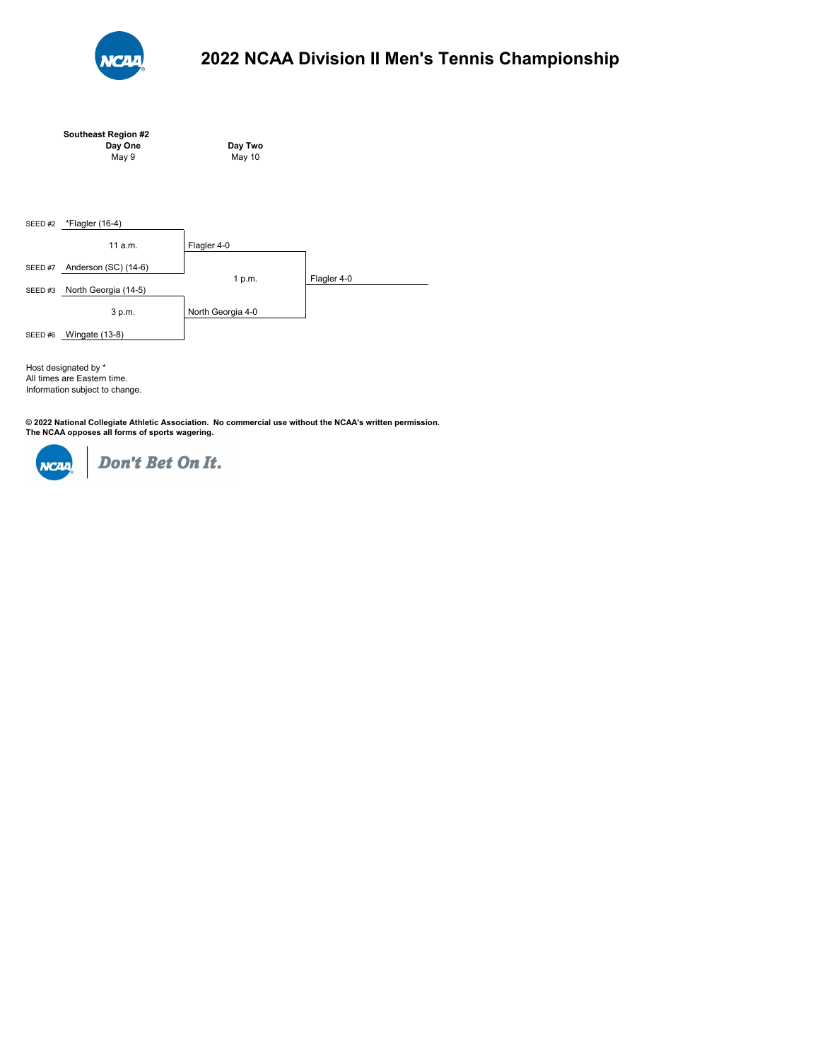

**Southeast Region #2 Day One Day Two**<br> **Day 9** May 10

May 10



All times are Eastern time. Information subject to change. Host designated by \*

© 2022 National Collegiate Athletic Association. No commercial use without the NCAA's written permission.<br>The NCAA opposes all forms of sports wagering.

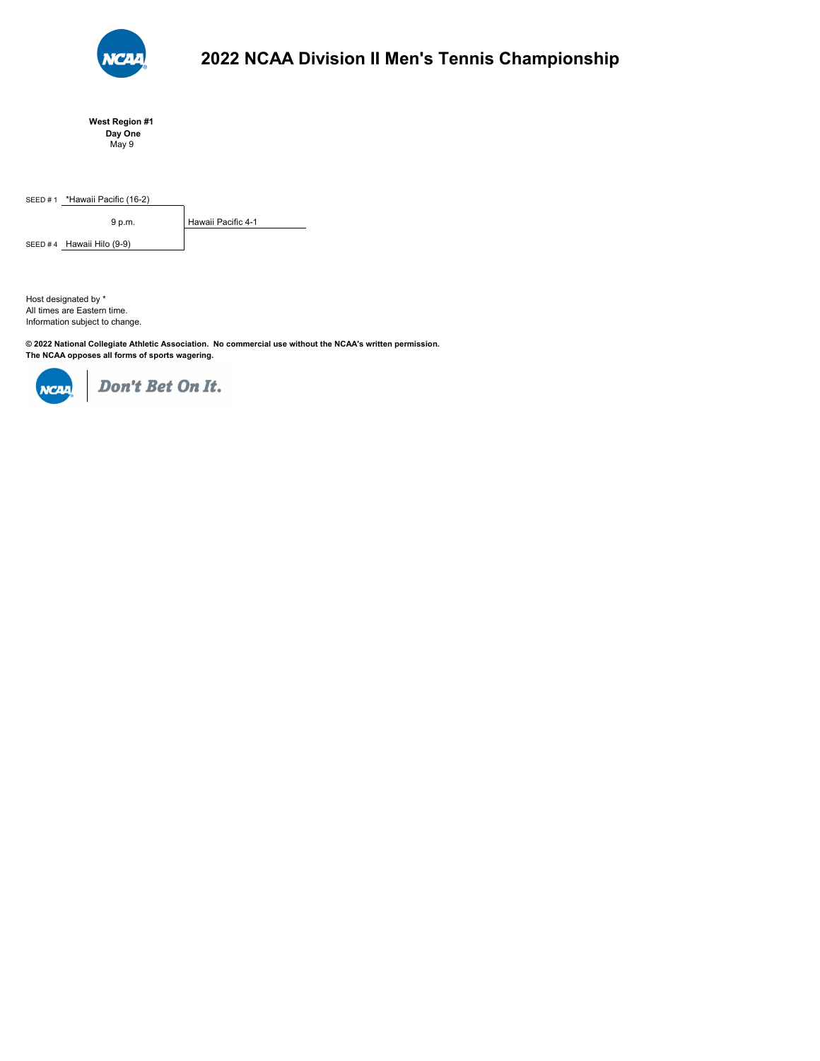

**Day One West Region #1**

May 9

SEED # 1 \*Hawaii Pacific (16-2)

9 p.m. Hawaii Pacific 4-1

SEED #4 Hawaii Hilo (9-9)

All times are Eastern time. Information subject to change. Host designated by \*

**© 2022 National Collegiate Athletic Association. No commercial use without the NCAA's written permission. The NCAA opposes all forms of sports wagering.**